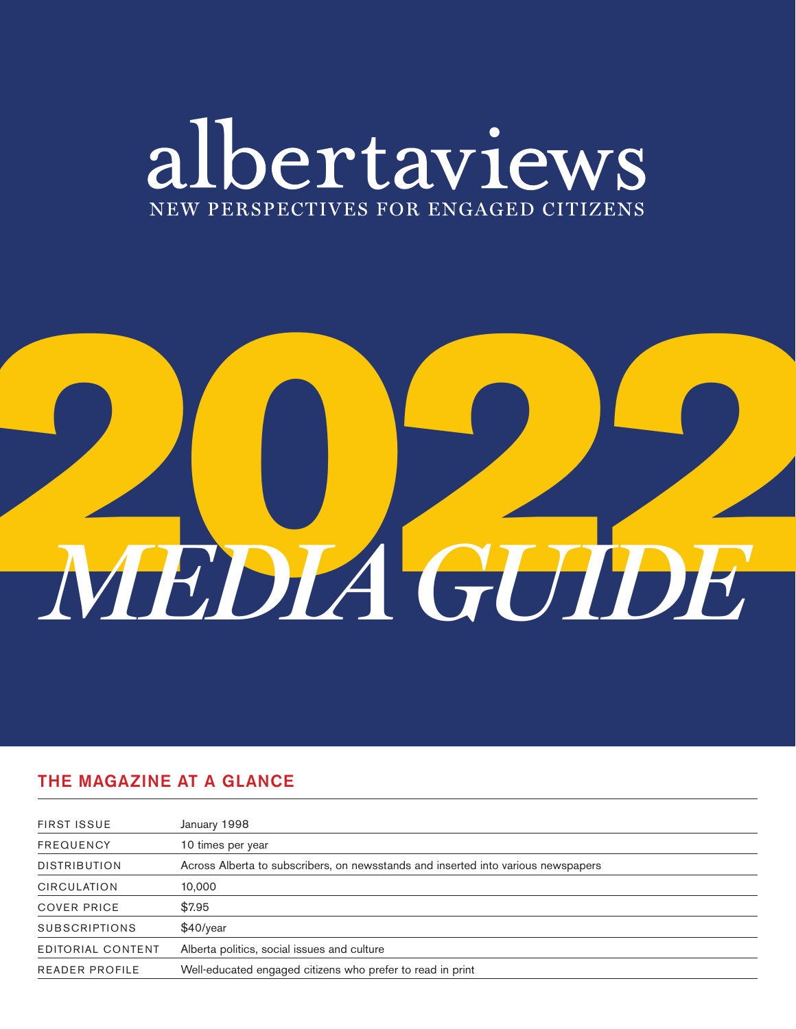# albertaviews NEW PERSPECTIVES FOR ENGAGED CITIZENS

# 2022 *MEDIA GUIDE*

# THE MAGAZINE AT A GLANCE

| <b>FIRST ISSUE</b>    | January 1998                                                                      |
|-----------------------|-----------------------------------------------------------------------------------|
| <b>FREQUENCY</b>      | 10 times per year                                                                 |
| <b>DISTRIBUTION</b>   | Across Alberta to subscribers, on newsstands and inserted into various newspapers |
| <b>CIRCULATION</b>    | 10,000                                                                            |
| <b>COVER PRICE</b>    | \$7.95                                                                            |
| <b>SUBSCRIPTIONS</b>  | $$40$ /year                                                                       |
| EDITORIAL CONTENT     | Alberta politics, social issues and culture                                       |
| <b>READER PROFILE</b> | Well-educated engaged citizens who prefer to read in print                        |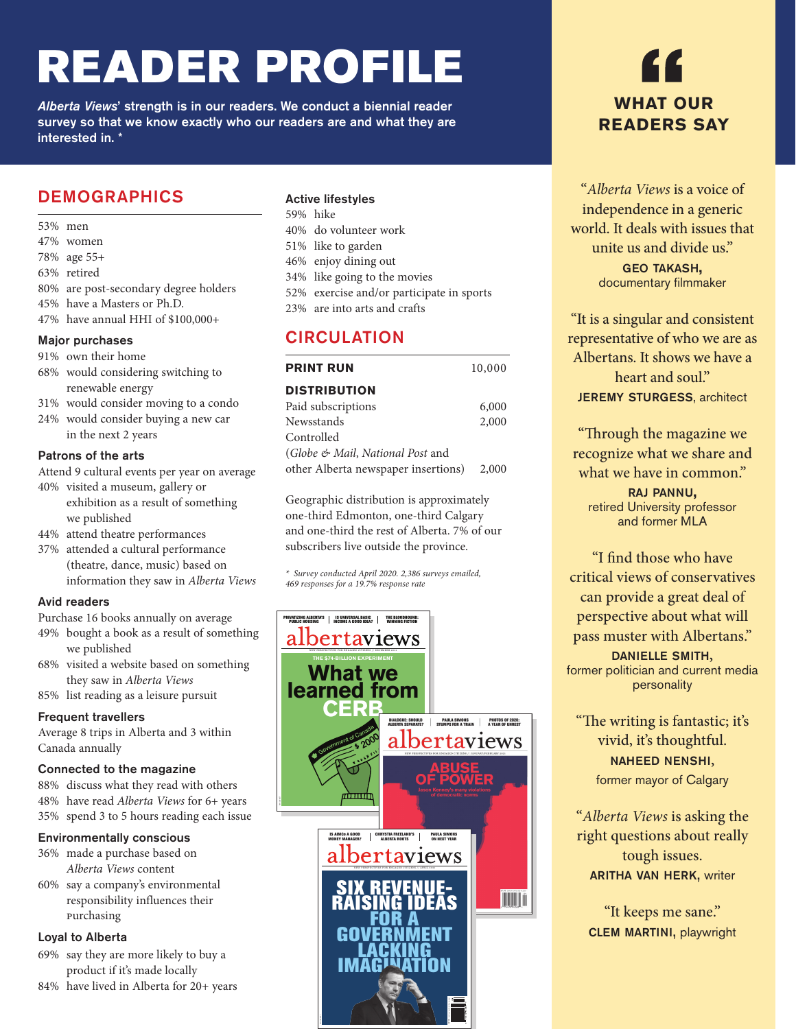# READER PROFILE

*Alberta Views*' strength is in our readers. We conduct a biennial reader survey so that we know exactly who our readers are and what they are interested in. \*

## DEMOGRAPHICS

- 53% men
- 47% women
- 78% age 55+
- 63% retired
- 80% are post-secondary degree holders
- 45% have a Masters or Ph.D.
- 47% have annual HHI of \$100,000+

#### Major purchases

#### 91% own their home

- 68% would considering switching to renewable energy
- 31% would consider moving to a condo
- 24% would consider buying a new car in the next 2 years

#### Patrons of the arts

- Attend 9 cultural events per year on average
- 40% visited a museum, gallery or exhibition as a result of something we published
- 44% attend theatre performances
- 37% attended a cultural performance (theatre, dance, music) based on information they saw in *Alberta Views*

#### Avid readers

- Purchase 16 books annually on average
- 49% bought a book as a result of something we published
- 68% visited a website based on something they saw in *Alberta Views*
- 85% list reading as a leisure pursuit

#### Frequent travellers

Average 8 trips in Alberta and 3 within Canada annually

#### Connected to the magazine

88% discuss what they read with others 48% have read *Alberta Views* for 6+ years 35% spend 3 to 5 hours reading each issue

#### Environmentally conscious

- 36% made a purchase based on *Alberta Views* content
- 60% say a company's environmental responsibility influences their purchasing

#### Loyal to Alberta

- 69% say they are more likely to buy a product if it's made locally
- 84% have lived in Alberta for 20+ years

#### Active lifestyles

- 59% hike
- 40% do volunteer work
- 51% like to garden
- 46% enjoy dining out
- 34% like going to the movies
- 52% exercise and/or participate in sports
- 23% are into arts and crafts

#### **CIRCULATION**

| <b>PRINT RUN</b>                    | 10,000 |
|-------------------------------------|--------|
| <b>DISTRIBUTION</b>                 |        |
| Paid subscriptions                  | 6,000  |
| Newsstands                          | 2,000  |
| Controlled                          |        |
| (Globe & Mail, National Post and    |        |
| other Alberta newspaper insertions) | 2,000  |

Geographic distribution is approximately one-third Edmonton, one-third Calgary and one-third the rest of Alberta. 7% of our subscribers live outside the province.

*\* Survey conducted April 2020. 2,386 surveys emailed, 469 responses for a 19.7% response rate*





"*Alberta Views* is a voice of independence in a generic world. It deals with issues that unite us and divide us." geo takash, documentary filmmaker

"It is a singular and consistent representative of who we are as Albertans. It shows we have a heart and soul." **JEREMY STURGESS, architect** 

"Through the magazine we recognize what we share and what we have in common." raj pannu,

retired University professor and former MLA

"I find those who have critical views of conservatives can provide a great deal of perspective about what will pass muster with Albertans."

**DANIELLE SMITH,**<br>former politician and current media personality

"The writing is fantastic; it's vivid, it's thoughtful. naheed nenshi, former mayor of Calgary

"*Alberta Views* is asking the right questions about really tough issues. **ARITHA VAN HERK, writer** 

"It keeps me sane." **CLEM MARTINI, playwright**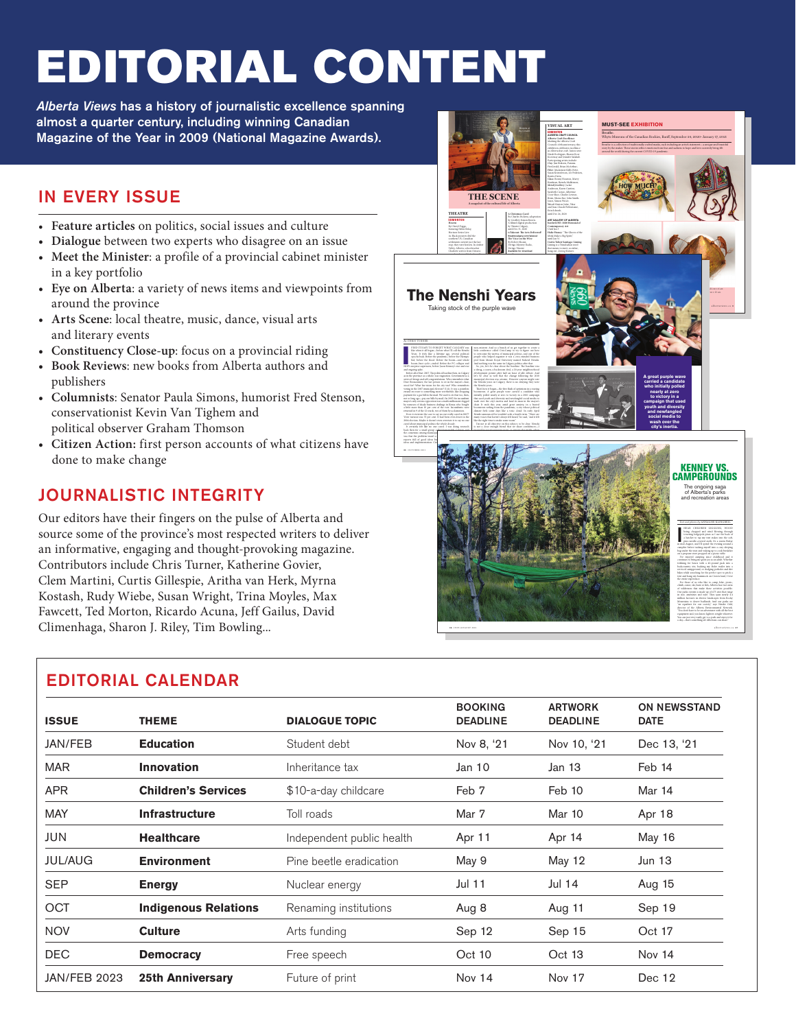# EDITORIAL CONTENT

*Alberta Views* has a history of journalistic excellence spanning almost a quarter century, including winning Canadian Magazine of the Year in 2009 (National Magazine Awards).

# IN EVERY ISSUE

- **Feature articles** on politics, social issues and culture
- **Dialogue** between two experts who disagree on an issue
- **Meet the Minister**: a profile of a provincial cabinet minister in a key portfolio
- **Eye on Alberta**: a variety of news items and viewpoints from around the province
- **Arts Scene**: local theatre, music, dance, visual arts and literary events
- **Constituency Close-up**: focus on a provincial riding
- **Book Reviews**: new books from Alberta authors and publishers
- **Columnists**: Senator Paula Simons, humorist Fred Stenson, conservationist Kevin Van Tighem and political observer Graham Thomson
- **Citizen Action:** first person accounts of what citizens have done to make change

# JOURNALISTIC INTEGRITY

Our editors have their fingers on the pulse of Alberta and source some of the province's most respected writers to deliver an informative, engaging and thought-provoking magazine. Contributors include Chris Turner, Katherine Govier, Clem Martini, Curtis Gillespie, Aritha van Herk, Myrna Kostash, Rudy Wiebe, Susan Wright, Trina Moyles, Max Fawcett, Ted Morton, Ricardo Acuna, Jeff Gailus, David Climenhaga, Sharon J. Riley, Tim Bowling...



| <b>ISSUE</b>        | <b>THEME</b>                | <b>DIALOGUE TOPIC</b>     | <b>BOOKING</b><br><b>DEADLINE</b> | <b>ARTWORK</b><br><b>DEADLINE</b> | <b>ON NEWSSTAND</b><br><b>DATE</b> |  |
|---------------------|-----------------------------|---------------------------|-----------------------------------|-----------------------------------|------------------------------------|--|
| JAN/FEB             | <b>Education</b>            | Student debt              | Nov 8, '21                        | Nov 10, '21                       | Dec 13, '21                        |  |
| <b>MAR</b>          | <b>Innovation</b>           | Inheritance tax           | Jan 10                            | Jan 13                            | Feb 14                             |  |
| <b>APR</b>          | <b>Children's Services</b>  | \$10-a-day childcare      | Feb 7                             | Feb 10                            | Mar 14                             |  |
| <b>MAY</b>          | <b>Infrastructure</b>       | Toll roads                | Mar 7                             | Mar 10                            | Apr 18                             |  |
| JUN                 | <b>Healthcare</b>           | Independent public health | Apr 11                            | Apr 14                            | May 16                             |  |
| <b>JUL/AUG</b>      | <b>Environment</b>          | Pine beetle eradication   | May 9                             | May 12                            | Jun 13                             |  |
| <b>SEP</b>          | <b>Energy</b>               | Nuclear energy            | Jul 11                            | Jul 14                            | Aug 15                             |  |
| <b>OCT</b>          | <b>Indigenous Relations</b> | Renaming institutions     | Aug 8                             | Aug 11                            | Sep 19                             |  |
| <b>NOV</b>          | <b>Culture</b>              | Arts funding              | Sep 12                            | Sep 15                            | Oct 17                             |  |
| <b>DEC</b>          | <b>Democracy</b>            | Free speech               | Oct 10                            | Oct 13                            | Nov 14                             |  |
| <b>JAN/FEB 2023</b> | <b>25th Anniversary</b>     | Future of print           | Nov 14                            | Nov 17                            | Dec 12                             |  |

## EDITORIAL CALENDAR